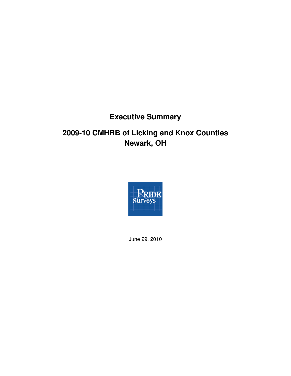# **Executive Summary**

# **2009-10 CMHRB of Licking and Knox Counties Newark, OH**



June 29, 2010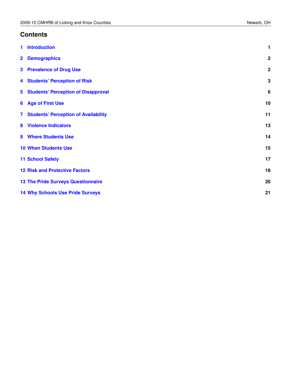### **Contents**

| 1 Introduction                                | 1               |
|-----------------------------------------------|-----------------|
| 2 Demographics                                | $\mathbf{2}$    |
| <b>3</b> Prevalence of Drug Use               | $\mathbf{2}$    |
| 4 Students' Perception of Risk                | $\mathbf 3$     |
| <b>5 Students' Perception of Disapproval</b>  | $6\phantom{1}6$ |
| <b>6 Age of First Use</b>                     | 10              |
| <b>7 Students' Perception of Availability</b> | 11              |
| 8 Violence Indicators                         | 13              |
| 9 Where Students Use                          | 14              |
| <b>10 When Students Use</b>                   | 15              |
| <b>11 School Safety</b>                       | 17              |
| <b>12 Risk and Protective Factors</b>         | 18              |
| <b>13 The Pride Surveys Questionnaire</b>     | 20              |
| <b>14 Why Schools Use Pride Surveys</b>       | 21              |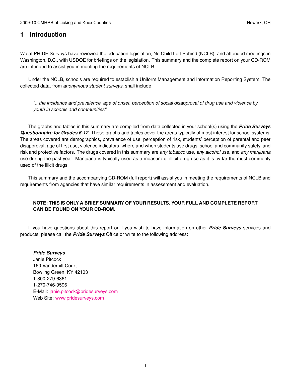### <span id="page-2-0"></span>**1 Introduction**

We at PRIDE Surveys have reviewed the education legislation, No Child Left Behind (NCLB), and attended meetings in Washington, D.C., with USDOE for briefings on the legislation. This summary and the complete report on your CD-ROM are intended to assist you in meeting the requirements of NCLB.

Under the NCLB, schools are required to establish a Uniform Management and Information Reporting System. The collected data, from *anonymous student surveys*, shall include:

*"...the incidence and prevalence, age of onset, perception of social disapproval of drug use and violence by youth in schools and communities"*.

The graphs and tables in this summary are compiled from data collected in your school(s) using the *Pride Surveys Questionnaire for Grades 6-12*. These graphs and tables cover the areas typically of most interest for school systems. The areas covered are demographics, prevalence of use, perception of risk, students' perception of parental and peer disapproval, age of first use, violence indicators, where and when students use drugs, school and community safety, and risk and protective factors. The drugs covered in this summary are *any tobacco* use, *any alcohol* use, and *any marijuana* use during the past year. Marijuana is typically used as a measure of illicit drug use as it is by far the most commonly used of the illicit drugs.

This summary and the accompanying CD-ROM (full report) will assist you in meeting the requirements of NCLB and requirements from agencies that have similar requirements in assessment and evaluation.

#### **NOTE: THIS IS ONLY A BRIEF SUMMARY OF YOUR RESULTS. YOUR FULL AND COMPLETE REPORT CAN BE FOUND ON YOUR CD-ROM.**

If you have questions about this report or if you wish to have information on other *Pride Surveys* services and products, please call the *Pride Surveys* Office or write to the following address:

#### *Pride Surveys*

Janie Pitcock 160 Vanderbilt Court Bowling Green, KY 42103 1-800-279-6361 1-270-746-9596 E-Mail: [janie.pitcock@pridesurveys.com](mailto:janie.pitcock@pridesurveys.com) Web Site: [www.pridesurveys.com](http://www.pridesurveys.com)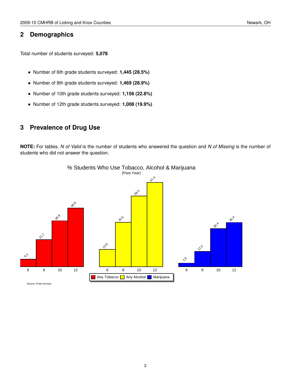### <span id="page-3-0"></span>**2 Demographics**

Total number of students surveyed: **5,078**

- Number of 6th grade students surveyed: **1,445 (28.5%)**
- Number of 8th grade students surveyed: **1,469 (28.9%)**
- Number of 10th grade students surveyed: **1,156 (22.8%)**
- Number of 12th grade students surveyed: **1,008 (19.9%)**

### <span id="page-3-1"></span>**3 Prevalence of Drug Use**

**NOTE:** For tables, *N of Valid* is the number of students who answered the question and *N of Missing* is the number of students who did not answer the question.



Source: Pride Surveys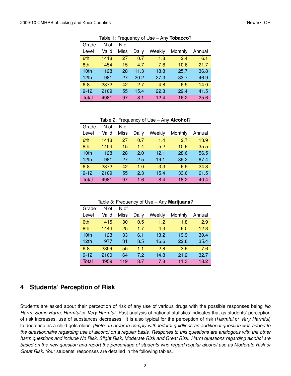| Grade            | N of  | N of |       |        |         |        |
|------------------|-------|------|-------|--------|---------|--------|
| Level            | Valid | Miss | Daily | Weekly | Monthly | Annual |
| 6th              | 1418  | 27   | 0.7   | 1.8    | 2.4     | 6.1    |
| 8th              | 1454  | 15   | 4.7   | 7.8    | 10.6    | 21.7   |
| 10 <sub>th</sub> | 1128  | 28   | 11.3  | 18.8   | 25.7    | 36.8   |
| 12 <sub>th</sub> | 981   | 27   | 20.2  | 27.3   | 33.7    | 46.9   |
| $6 - 8$          | 2872  | 42   | 2.7   | 4.8    | 6.5     | 14.0   |
| $9 - 12$         | 2109  | 55   | 15.4  | 22.8   | 29.4    | 41.5   |
| <b>Total</b>     | 4981  | 97   | 8.1   | 12.4   | 16.2    | 25.6   |

Table 1: Frequency of Use – Any **Tobacco**?

Table 2: Frequency of Use – Any **Alcohol**?

| Grade        | N of  | N of |       |        |         |        |
|--------------|-------|------|-------|--------|---------|--------|
| Level        | Valid | Miss | Daily | Weekly | Monthly | Annual |
| 6th          | 1418  | 27   | 0.7   | 1.4    | 2.7     | 13.9   |
| 8th          | 1454  | 15   | 1.4   | 5.2    | 10.9    | 35.5   |
| 10th         | 1128  | 28   | 2.0   | 12.1   | 28.6    | 56.5   |
| 12th         | 981   | 27   | 2.5   | 19.1   | 39.2    | 67.4   |
| $6 - 8$      | 2872  | 42   | 1.0   | 3.3    | 6.9     | 24.8   |
| $9 - 12$     | 2109  | 55   | 2.3   | 15.4   | 33.6    | 61.5   |
| <b>Total</b> | 4981  | 97   | 1.6   | 8.4    | 18.2    | 40.4   |

Table 3: Frequency of Use – Any **Marijuana**?

| Grade            | N of  | N of |       |        |         |        |
|------------------|-------|------|-------|--------|---------|--------|
| Level            | Valid | Miss | Daily | Weekly | Monthly | Annual |
| 6th              | 1415  | 30   | 0.5   | 1.2    | 1.8     | 2.9    |
| 8th              | 1444  | 25   | 1.7   | 4.3    | 6.0     | 12.3   |
| 10th             | 1123  | 33   | 6.1   | 13.2   | 19.9    | 30.4   |
| 12 <sub>th</sub> | 977   | 31   | 8.5   | 16.6   | 22.8    | 35.4   |
| $6 - 8$          | 2859  | 55   | 1.1   | 2.8    | 3.9     | 7.6    |
| $9 - 12$         | 2100  | 64   | 7.2   | 14.8   | 21.2    | 32.7   |
| Total            | 4959  | 119  | 3.7   | 7.8    | 11.3    | 18.2   |
|                  |       |      |       |        |         |        |

### <span id="page-4-0"></span>**4 Students' Perception of Risk**

Students are asked about their perception of risk of any use of various drugs with the possible responses being *No Harm*, *Some Harm*, *Harmful* or *Very Harmful*. Past analysis of national statistics indicates that as students' perception of risk increases, use of substances decreases. It is also typical for the perception of risk (*Harmful* or *Very Harmful*) to decrease as a child gets older. *(Note: In order to comply with federal guidlines an additional question was added to the questionnaire regarding use of alcohol on a regular basis. Respones to this questions are analogous with the other harm questions and include No Risk, Slight Risk, Moderate Risk and Great Risk. Harm questions regarding alcohol are based on the new question and report the percentage of students who regard regular alcohol use as Moderate Risk or Great Risk.* Your students' responses are detailed in the following tables.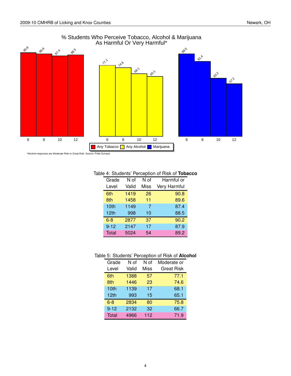

#### % Students Who Perceive Tobacco, Alcohol & Marijuana As Harmful Or Very Harmful\*

\*Alcohol responses are Moderate Risk or Great Risk. Source: Pride Surveys

#### Table 4: Students' Perception of Risk of **Tobacco**

| Grade    | N of  | N of | Harmful or   |
|----------|-------|------|--------------|
| Level    | Valid | Miss | Very Harmful |
| 6th      | 1419  | 26   | 90.8         |
| 8th      | 1458  | 11   | 89.6         |
| 10th     | 1149  | 7    | 87.4         |
| 12th     | 998   | 10   | 88.5         |
| $6 - 8$  | 2877  | 37   | 90.2         |
| $9 - 12$ | 2147  | 17   | 87.9         |
| Total    | 5024  | 54   | 89.2         |

#### Table 5: Students' Perception of Risk of **Alcohol**

| Grade    | N of  | N of | Moderate or |
|----------|-------|------|-------------|
| Level    | Valid | Miss | Great Risk  |
| 6th      | 1388  | 57   | 77.1        |
| 8th      | 1446  | 23   | 74.6        |
| 10th     | 1139  | 17   | 68.1        |
| 12th     | 993   | 15   | 65.1        |
| $6 - 8$  | 2834  | 80   | 75.8        |
| $9 - 12$ | 2132  | 32   | 66.7        |
| Total    | 4966  | 112  | 71.9        |
|          |       |      |             |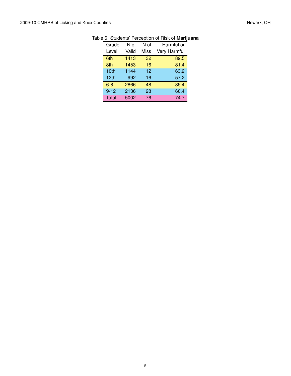| Grade            | N of  | N of | Harmful or   |
|------------------|-------|------|--------------|
| Level            | Valid | Miss | Very Harmful |
| 6th              | 1413  | 32   | 89.5         |
| 8th              | 1453  | 16   | 81.4         |
| 10 <sub>th</sub> | 1144  | 12   | 63.2         |
| 12 <sub>th</sub> | 992   | 16   | 57.2         |
| $6 - 8$          | 2866  | 48   | 85.4         |
| $9 - 12$         | 2136  | 28   | 60.4         |
| Total            | 5002  | 76   | 74.7         |

#### Table 6: Students' Perception of Risk of **Marijuana**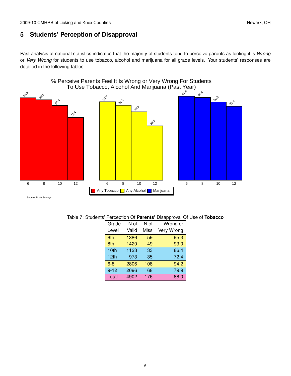### <span id="page-7-0"></span>**5 Students' Perception of Disapproval**

Past analysis of national statistics indicates that the majority of students tend to perceive parents as feeling it is *Wrong* or *Very Wrong* for students to use tobacco, alcohol and marijuana for all grade levels. Your students' responses are detailed in the following tables.





Source: Pride Surveys

|  |  | Table 7: Students' Perception Of Parents' Disapproval Of Use of Tobacco |
|--|--|-------------------------------------------------------------------------|
|--|--|-------------------------------------------------------------------------|

| Grade    | N of  | N of | Wrong or   |
|----------|-------|------|------------|
| Level    | Valid | Miss | Very Wrong |
| 6th      | 1386  | 59   | 95.3       |
| 8th      | 1420  | 49   | 93.0       |
| 10th     | 1123  | 33   | 86.4       |
| 12th     | 973   | 35   | 72.4       |
| $6 - 8$  | 2806  | 108  | 94.2       |
| $9 - 12$ | 2096  | 68   | 79.9       |
| Total    | 4902  | 176  | 88.0       |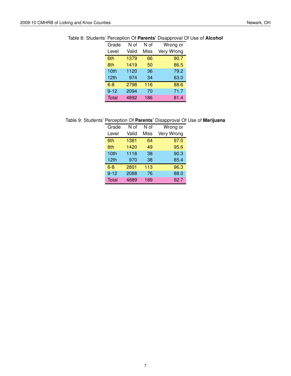| Grade            | N of  | N of | Wrong or   |
|------------------|-------|------|------------|
| Level            | Valid | Miss | Very Wrong |
| 6th              | 1379  | 66   | 90.7       |
| 8th              | 1419  | 50   | 86.5       |
| 10th             | 1120  | 36   | 79.2       |
| 12 <sub>th</sub> | 974   | 34   | 63.0       |
| $6 - 8$          | 2798  | 116  | 88.6       |
| $9 - 12$         | 2094  | 70   | 71.7       |
| Total            | 4892  | 186  | 81.4       |
|                  |       |      |            |

Table 8: Students' Perception Of **Parents'** Disapproval Of Use of **Alcohol**

#### Table 9: Students' Perception Of **Parents'** Disapproval Of Use of **Marijuana**

| Grade    | N of  | N of | Wrong or   |
|----------|-------|------|------------|
| Level    | Valid | Miss | Very Wrong |
| 6th      | 1381  | 64   | 97.0       |
| 8th      | 1420  | 49   | 95.6       |
| 10th     | 1118  | 38   | 90.3       |
| 12th     | 970   | 38   | 85.4       |
| $6 - 8$  | 2801  | 113  | 96.3       |
| $9 - 12$ | 2088  | 76   | 88.0       |
| Total    | 4889  | 189  | 92.7       |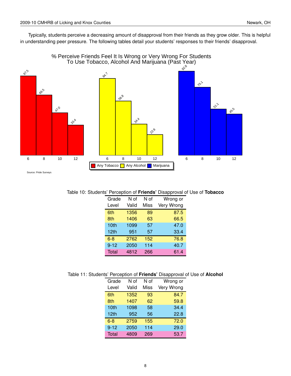

#### Table 10: Students' Perception of **Friends'** Disapproval of Use of **Tobacco**

| Grade    | N of  | N of | Wrong or   |
|----------|-------|------|------------|
| Level    | Valid | Miss | Very Wrong |
| 6th      | 1356  | 89   | 87.5       |
| 8th      | 1406  | 63   | 66.5       |
| 10th     | 1099  | 57   | 47.0       |
| 12th     | 951   | 57   | 33.4       |
| $6 - 8$  | 2762  | 152  | 76.8       |
| $9 - 12$ | 2050  | 114  | 40.7       |
| Total    | 4812  | 266  | 61.4       |

#### Table 11: Students' Perception of **Friends'** Disapproval of Use of **Alcohol**

|          |       |             | $     -$   |
|----------|-------|-------------|------------|
| Grade    | N of  | N of        | Wrong or   |
| Level    | Valid | <b>Miss</b> | Very Wrong |
| 6th      | 1352  | 93          | 84.7       |
| 8th      | 1407  | 62          | 59.8       |
| 10th     | 1098  | 58          | 34.4       |
| 12th     | 952   | 56          | 22.8       |
| $6 - 8$  | 2759  | 155         | 72.0       |
| $9 - 12$ | 2050  | 114         | 29.0       |
| Total    | 4809  | 269         | 53.7       |

8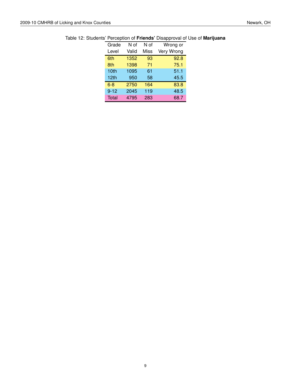| Grade            | N of  | N of | Wrong or   |
|------------------|-------|------|------------|
| Level            | Valid | Miss | Very Wrong |
| 6th              | 1352  | 93   | 92.8       |
| 8th              | 1398  | 71   | 75.1       |
| 10th             | 1095  | 61   | 51.1       |
| 12 <sub>th</sub> | 950   | 58   | 45.5       |
| $6 - 8$          | 2750  | 164  | 83.8       |
| $9 - 12$         | 2045  | 119  | 48.5       |
| Total            | 4795  | 283  | 68.7       |
|                  |       |      |            |

#### Table 12: Students' Perception of **Friends'** Disapproval of Use of **Marijuana**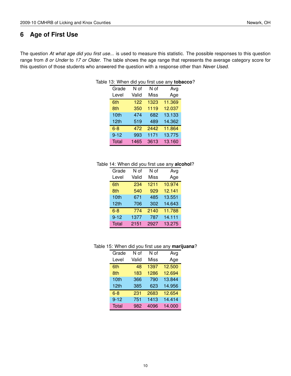<span id="page-11-0"></span>The question *At what age did you first use...* is used to measure this statistic. The possible responses to this question range from *8 or Under* to *17 or Older*. The table shows the age range that represents the average category score for this question of those students who answered the question with a response other than *Never Used*.

| le 13. Wrien did you hist use any <b>topac</b> |       |      |        |  |
|------------------------------------------------|-------|------|--------|--|
| Grade                                          | N of  | N of | Avg    |  |
| Level                                          | Valid | Miss | Age    |  |
| 6th                                            | 122   | 1323 | 11.369 |  |
| 8th                                            | 350   | 1119 | 12.037 |  |
| 10th                                           | 474   | 682  | 13.133 |  |
| 12 <sub>th</sub>                               | 519   | 489  | 14.362 |  |
| $6 - 8$                                        | 472   | 2442 | 11.864 |  |
| $9 - 12$                                       | 993   | 1171 | 13.775 |  |
| Total                                          | 1465  | 3613 | 13.160 |  |
|                                                |       |      |        |  |

### Table 13: When did you first use any **tobacco**?

#### Table 14: When did you first use any **alcohol**?

| Grade    | N of  | N of | Avg    |
|----------|-------|------|--------|
| Level    | Valid | Miss | Age    |
| 6th      | 234   | 1211 | 10.974 |
| 8th      | 540   | 929  | 12.141 |
| 10th     | 671   | 485  | 13.551 |
| 12th     | 706   | 302  | 14.643 |
| $6 - 8$  | 774   | 2140 | 11.788 |
| $9 - 12$ | 1377  | 787  | 14.111 |
| Total    | 2151  | 2927 | 13.275 |

#### Table 15: When did you first use any **marijuana**?

| Grade    | N of  | N of        | Avg    |
|----------|-------|-------------|--------|
| Level    | Valid | <b>Miss</b> | Age    |
| 6th      | 48    | 1397        | 12.500 |
| 8th      | 183   | 1286        | 12.694 |
| 10th     | 366   | 790         | 13.844 |
| 12th     | 385   | 623         | 14.956 |
| $6 - 8$  | 231   | 2683        | 12.654 |
| $9 - 12$ | 751   | 1413        | 14.414 |
| Total    | 982   | 4096        | 14.000 |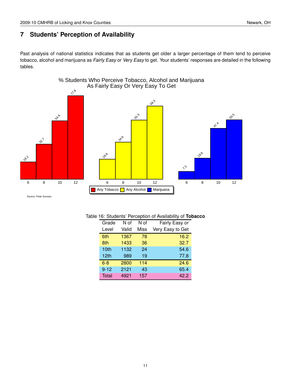### <span id="page-12-0"></span>**7 Students' Perception of Availability**

Past analysis of national statistics indicates that as students get older a larger percentage of them tend to perceive tobacco, alcohol and marijuana as *Fairly Easy* or *Very Easy* to get. Your students' responses are detailed in the following tables.



|  | Source: Pride Surveys |  |
|--|-----------------------|--|
|  |                       |  |

|  | Table 16: Students' Perception of Availability of Tobacco |  |
|--|-----------------------------------------------------------|--|
|--|-----------------------------------------------------------|--|

| Grade    | N of  | N of | Fairly Easy or   |
|----------|-------|------|------------------|
| Level    | Valid | Miss | Very Easy to Get |
| 6th      | 1367  | 78   | 16.2             |
| 8th      | 1433  | 36   | 32.7             |
| 10th     | 1132  | 24   | 54.6             |
| 12th     | 989   | 19   | 77.8             |
| $6 - 8$  | 2800  | 114  | 24.6             |
| $9 - 12$ | 2121  | 43   | 65.4             |
| Total    | 4921  | 157  | 42.2             |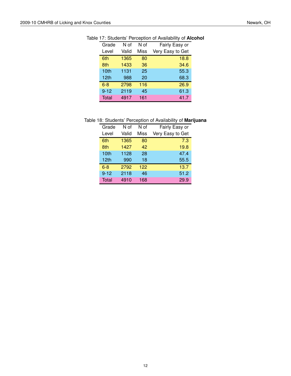| Grade            | N of  | N of | Fairly Easy or   |
|------------------|-------|------|------------------|
| Level            | Valid | Miss | Very Easy to Get |
| 6th              | 1365  | 80   | 18.8             |
| 8th              | 1433  | 36   | 34.6             |
| 10th             | 1131  | 25   | 55.3             |
| 12 <sub>th</sub> | 988   | 20   | 68.3             |
| $6 - 8$          | 2798  | 116  | 26.9             |
| $9 - 12$         | 2119  | 45   | 61.3             |
| Total            | 4917  | 161  | 41.7             |
|                  |       |      |                  |

#### Table 17: Students' Perception of Availability of **Alcohol**

#### Table 18: Students' Perception of Availability of **Marijuana**

| Grade    | N of  | N of | Fairly Easy or   |
|----------|-------|------|------------------|
| Level    | Valid | Miss | Very Easy to Get |
| 6th      | 1365  | 80   | 7.3              |
| 8th      | 1427  | 42   | 19.8             |
| 10th     | 1128  | 28   | 47.4             |
| 12th     | 990   | 18   | 55.5             |
| $6 - 8$  | 2792  | 122  | 13.7             |
| $9 - 12$ | 2118  | 46   | 51.2             |
| Total    | 4910  | 168  | 29.9             |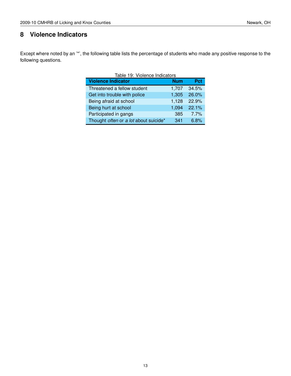### <span id="page-14-0"></span>**8 Violence Indicators**

Except where noted by an '\*', the following table lists the percentage of students who made any positive response to the following questions.

| Table 19: Violence Indicators         |            |       |  |  |
|---------------------------------------|------------|-------|--|--|
| <b>Violence Indicator</b>             | <b>Num</b> | Pct   |  |  |
| Threatened a fellow student           | 1,707      | 34.5% |  |  |
| Get into trouble with police          | 1,305      | 26.0% |  |  |
| Being afraid at school                | 1,128      | 22.9% |  |  |
| Being hurt at school                  | 1,094      | 22.1% |  |  |
| Participated in gangs                 | 385        | 7.7%  |  |  |
| Thought often or a lot about suicide* | 341        | 6.8%  |  |  |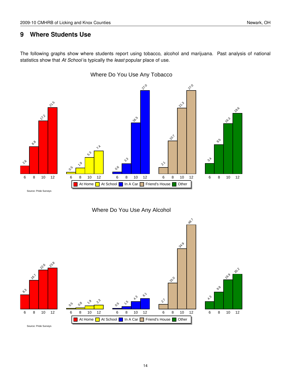### <span id="page-15-0"></span>**9 Where Students Use**

The following graphs show where students report using tobacco, alcohol and marijuana. Past analysis of national statistics show that *At School* is typically the *least* popular place of use.









Source: Pride Surveys

 $e^3$ 

16.7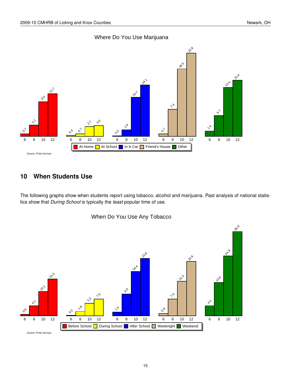



### <span id="page-16-0"></span>**10 When Students Use**

The following graphs show when students report using tobacco, alcohol and marijuana. Past analysis of national statistics show that *During School* is typically the *least* popular time of use.



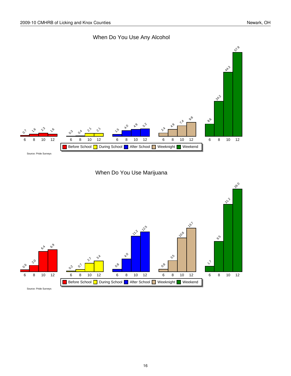





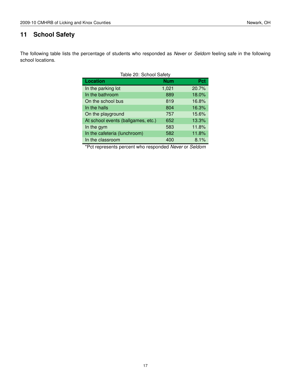### <span id="page-18-0"></span>**11 School Safety**

The following table lists the percentage of students who responded as *Never* or *Seldom* feeling safe in the following school locations.

| Table 20: School Safety            |            |       |
|------------------------------------|------------|-------|
| <b>Location</b>                    | <b>Num</b> | Pct   |
| In the parking lot                 | 1,021      | 20.7% |
| In the bathroom                    | 889        | 18.0% |
| On the school bus                  | 819        | 16.8% |
| In the halls                       | 804        | 16.3% |
| On the playground                  | 757        | 15.6% |
| At school events (ballgames, etc.) | 652        | 13.3% |
| In the gym                         | 583        | 11.8% |
| In the cafeteria (lunchroom)       | 582        | 11.8% |
| In the classroom                   | 400        | 8.1%  |

\*Pct represents percent who responded *Never* or *Seldom*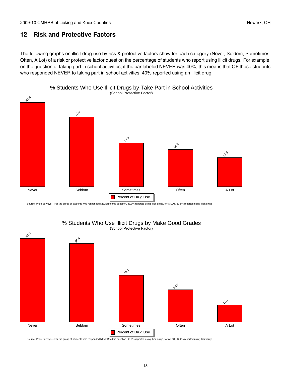### <span id="page-19-0"></span>**12 Risk and Protective Factors**

The following graphs on illicit drug use by risk & protective factors show for each category (Never, Seldom, Sometimes, Often, A Lot) of a risk or protective factor question the percentage of students who report using illicit drugs. For example, on the question of taking part in school activities, if the bar labeled NEVER was 40%, this means that OF those students who responded NEVER to taking part in school activities, 40% reported using an illicit drug.



## % Students Who Use Illicit Drugs by Take Part in School Activities

Source: Pride Surveys -- For the group of students who responded NEVER to this question, 33.3% reported using illicit drugs, for A LOT, 11.5% reported using illicit drugs



#### % Students Who Use Illicit Drugs by Make Good Grades (School Protective Factor)

Source: Pride Surveys -- For the group of students who responded NEVER to this question, 60.0% reported using illicit drugs, for A LOT, 12.2% reported using illicit drugs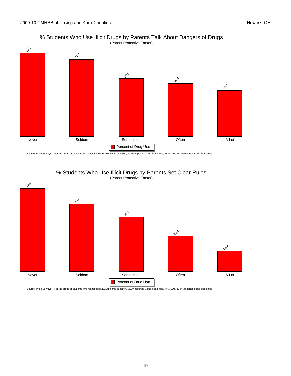

## % Students Who Use Illicit Drugs by Parents Talk About Dangers of Drugs

Source: Pride Surveys -- For the group of students who responded NEVER to this question, 29.5% reported using illicit drugs, for A LOT, 16.3% reported using illicit drugs



#### % Students Who Use Illicit Drugs by Parents Set Clear Rules (Parent Protective Factor)

Source: Pride Surveys -- For the group of students who responded NEVER to this question, 55.0% reported using illicit drugs, for A LOT, 13.6% reported using illicit drugs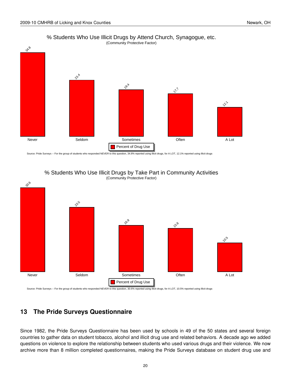

% Students Who Use Illicit Drugs by Attend Church, Synagogue, etc.

Source: Pride Surveys -- For the group of students who responded NEVER to this question, 34.8% reported using illicit drugs, for A LOT, 12.1% reported using illicit drugs





### <span id="page-21-0"></span>**13 The Pride Surveys Questionnaire**

Since 1982, the Pride Surveys Questionnaire has been used by schools in 49 of the 50 states and several foreign countries to gather data on student tobacco, alcohol and illicit drug use and related behaviors. A decade ago we added questions on violence to explore the relationship between students who used various drugs and their violence. We now archive more than 8 million completed questionnaires, making the Pride Surveys database on student drug use and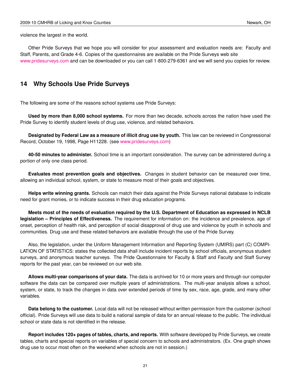violence the largest in the world.

Other Pride Surveys that we hope you will consider for your assessment and evaluation needs are: Faculty and Staff, Parents, and Grade 4-6. Copies of the questionnaires are available on the Pride Surveys web site [www.pridesurveys.com](http://www.pridesurveys.com) and can be downloaded or you can call 1-800-279-6361 and we will send you copies for review.

### <span id="page-22-0"></span>**14 Why Schools Use Pride Surveys**

The following are some of the reasons school systems use Pride Surveys:

**Used by more than 8,000 school systems.** For more than two decade, schools across the nation have used the Pride Survey to identify student levels of drug use, violence, and related behaviors.

**Designated by Federal Law as a measure of illicit drug use by youth.** This law can be reviewed in Congressional Record, October 19, 1998, Page H11228. (see [www.pridesurveys.com\)](http://www.pridesurveys.com)

**40-50 minutes to administer.** School time is an important consideration. The survey can be administered during a portion of only one class period.

**Evaluates most prevention goals and objectives.** Changes in student behavior can be measured over time, allowing an individual school, system, or state to measure most of their goals and objectives.

**Helps write winning grants.** Schools can match their data against the Pride Surveys national database to indicate need for grant monies, or to indicate success in their drug education programs.

**Meets most of the needs of evaluation required by the U.S. Department of Education as expressed in NCLB legislation – Principles of Effectiveness.** The requirement for information on: the incidence and prevalence, age of onset, perception of health risk, and perception of social disapproval of drug use and violence by youth in schools and communities. Drug use and these related behaviors are available through the use of the Pride Survey.

Also, the legislation, under the Uniform Management Information and Reporting System (UMIRS) part (C) COMPI-LATION OF STATISTICS: states the collected data shall include incident reports by school officials, anonymous student surveys, and anonymous teacher surveys. The Pride Questionnaire for Faculty & Staff and Faculty and Staff Survey reports for the past year, can be reviewed on our web site.

**Allows multi-year comparisons of your data.** The data is archived for 10 or more years and through our computer software the data can be compared over multiple years of administrations. The multi-year analysis allows a school, system, or state, to track the changes in data over extended periods of time by sex, race, age, grade, and many other variables.

**Data belong to the customer.** Local data will not be released without written permission from the customer (school official). Pride Surveys will use data to build a national sample of data for an annual release to the public. The individual school or state data is not identified in the release.

**Report includes 120+ pages of tables, charts, and reports.** With software developed by Pride Surveys, we create tables, charts and special reports on variables of special concern to schools and administrators. (Ex. One graph shows drug use to occur most often on the weekend when schools are not in session.)